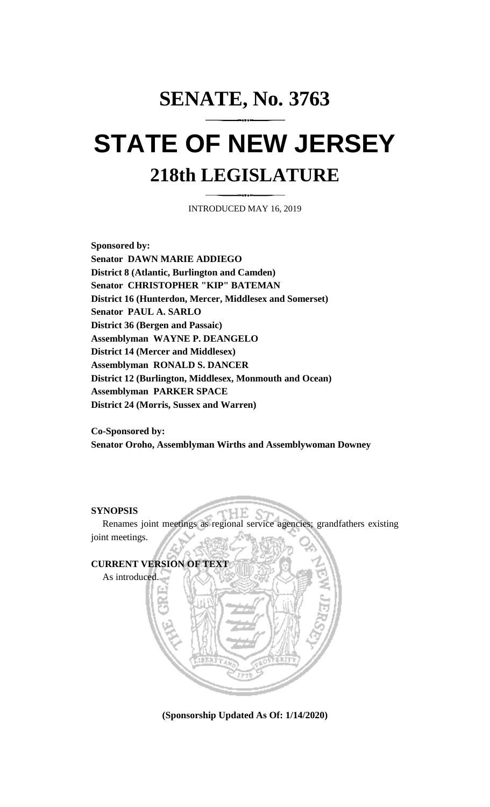# **SENATE, No. 3763 STATE OF NEW JERSEY 218th LEGISLATURE**

INTRODUCED MAY 16, 2019

**Sponsored by: Senator DAWN MARIE ADDIEGO District 8 (Atlantic, Burlington and Camden) Senator CHRISTOPHER "KIP" BATEMAN District 16 (Hunterdon, Mercer, Middlesex and Somerset) Senator PAUL A. SARLO District 36 (Bergen and Passaic) Assemblyman WAYNE P. DEANGELO District 14 (Mercer and Middlesex) Assemblyman RONALD S. DANCER District 12 (Burlington, Middlesex, Monmouth and Ocean) Assemblyman PARKER SPACE District 24 (Morris, Sussex and Warren)**

**Co-Sponsored by: Senator Oroho, Assemblyman Wirths and Assemblywoman Downey**

### **SYNOPSIS**

Renames joint meetings as regional service agencies; grandfathers existing joint meetings.



**(Sponsorship Updated As Of: 1/14/2020)**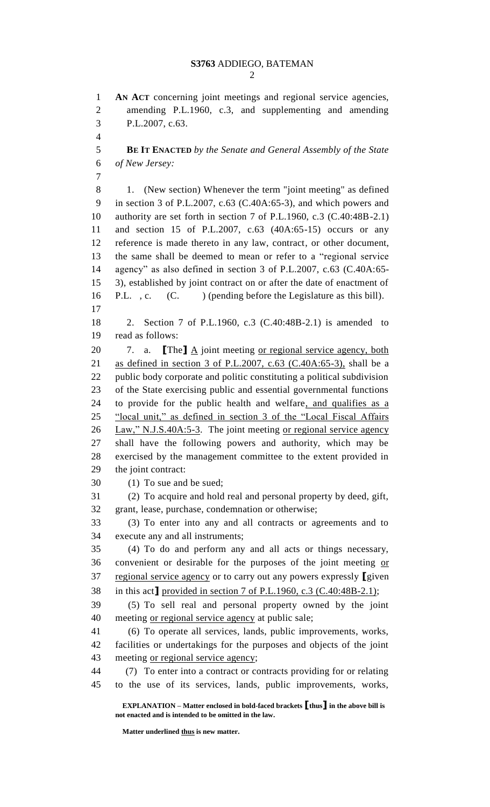**AN ACT** concerning joint meetings and regional service agencies, amending P.L.1960, c.3, and supplementing and amending P.L.2007, c.63. **BE IT ENACTED** *by the Senate and General Assembly of the State of New Jersey:* 1. (New section) Whenever the term "joint meeting" as defined in section 3 of P.L.2007, c.63 (C.40A:65-3), and which powers and authority are set forth in section 7 of P.L.1960, c.3 (C.40:48B-2.1) and section 15 of P.L.2007, c.63 (40A:65-15) occurs or any reference is made thereto in any law, contract, or other document, the same shall be deemed to mean or refer to a "regional service agency" as also defined in section 3 of P.L.2007, c.63 (C.40A:65- 3), established by joint contract on or after the date of enactment of 16 P.L., c. (C. ) (pending before the Legislature as this bill). 2. Section 7 of P.L.1960, c.3 (C.40:48B-2.1) is amended to read as follows: 20 7. a. **[The]** <u>A</u> joint meeting <u>or regional service agency, both</u> as defined in section 3 of P.L.2007, c.63 (C.40A:65-3), shall be a public body corporate and politic constituting a political subdivision of the State exercising public and essential governmental functions 24 to provide for the public health and welfare, and qualifies as a "local unit," as defined in section 3 of the "Local Fiscal Affairs 26 Law," N.J.S.40A:5-3. The joint meeting or regional service agency shall have the following powers and authority, which may be exercised by the management committee to the extent provided in the joint contract: 30 (1) To sue and be sued; 31 (2) To acquire and hold real and personal property by deed, gift, grant, lease, purchase, condemnation or otherwise; 33 (3) To enter into any and all contracts or agreements and to execute any and all instruments; 35 (4) To do and perform any and all acts or things necessary, convenient or desirable for the purposes of the joint meeting or regional service agency or to carry out any powers expressly **[**given in this act**]** provided in section 7 of P.L.1960, c.3 (C.40:48B-2.1); 39 (5) To sell real and personal property owned by the joint meeting or regional service agency at public sale; 41 (6) To operate all services, lands, public improvements, works, facilities or undertakings for the purposes and objects of the joint 43 meeting <u>or regional service agency</u>; 44 (7) To enter into a contract or contracts providing for or relating to the use of its services, lands, public improvements, works,

**EXPLANATION – Matter enclosed in bold-faced brackets [thus] in the above bill is not enacted and is intended to be omitted in the law.**

**Matter underlined thus is new matter.**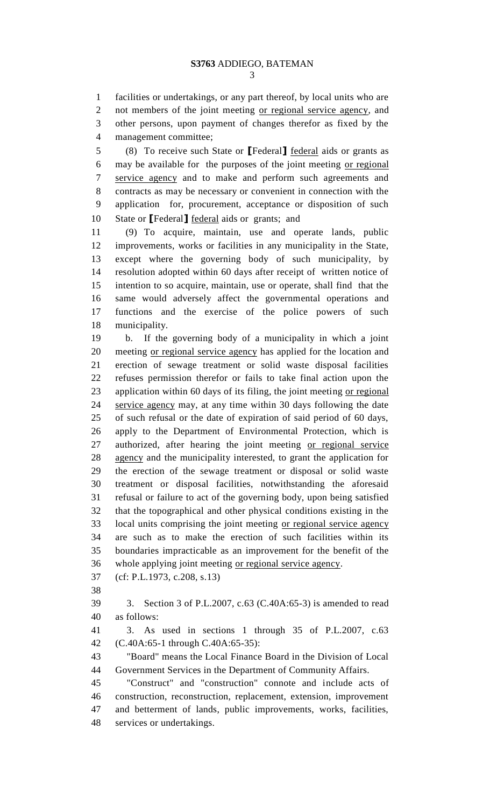facilities or undertakings, or any part thereof, by local units who are not members of the joint meeting or regional service agency, and other persons, upon payment of changes therefor as fixed by the management committee;

5 (8) To receive such State or **[**Federal**]** federal aids or grants as may be available for the purposes of the joint meeting or regional service agency and to make and perform such agreements and contracts as may be necessary or convenient in connection with the application for, procurement, acceptance or disposition of such State or **[**Federal**]** federal aids or grants; and

11 (9) To acquire, maintain, use and operate lands, public improvements, works or facilities in any municipality in the State, except where the governing body of such municipality, by resolution adopted within 60 days after receipt of written notice of intention to so acquire, maintain, use or operate, shall find that the same would adversely affect the governmental operations and functions and the exercise of the police powers of such municipality.

19 b. If the governing body of a municipality in which a joint meeting or regional service agency has applied for the location and erection of sewage treatment or solid waste disposal facilities refuses permission therefor or fails to take final action upon the application within 60 days of its filing, the joint meeting or regional service agency may, at any time within 30 days following the date of such refusal or the date of expiration of said period of 60 days, apply to the Department of Environmental Protection, which is authorized, after hearing the joint meeting or regional service agency and the municipality interested, to grant the application for the erection of the sewage treatment or disposal or solid waste treatment or disposal facilities, notwithstanding the aforesaid refusal or failure to act of the governing body, upon being satisfied that the topographical and other physical conditions existing in the local units comprising the joint meeting or regional service agency are such as to make the erection of such facilities within its boundaries impracticable as an improvement for the benefit of the whole applying joint meeting or regional service agency.

- (cf: P.L.1973, c.208, s.13)
- 

 3. Section 3 of P.L.2007, c.63 (C.40A:65-3) is amended to read as follows:

 3. As used in sections 1 through 35 of P.L.2007, c.63 (C.40A:65-1 through C.40A:65-35):

 "Board" means the Local Finance Board in the Division of Local Government Services in the Department of Community Affairs.

 "Construct" and "construction" connote and include acts of construction, reconstruction, replacement, extension, improvement and betterment of lands, public improvements, works, facilities, services or undertakings.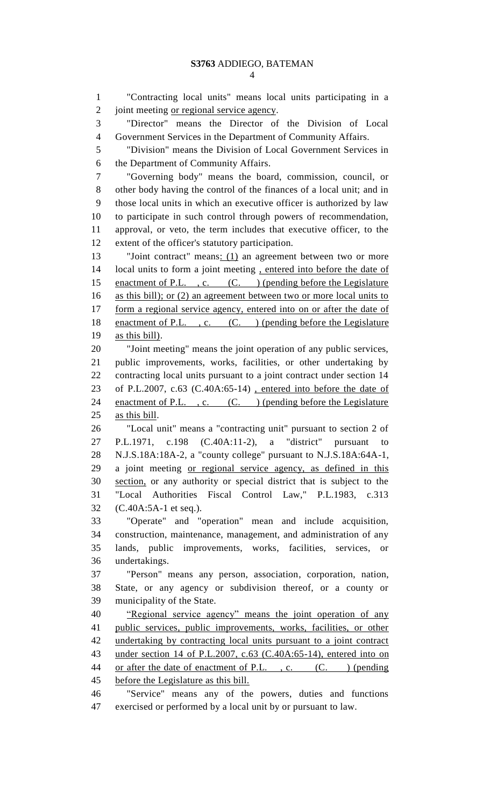"Contracting local units" means local units participating in a 2 joint meeting <u>or regional service agency</u>. "Director" means the Director of the Division of Local Government Services in the Department of Community Affairs. "Division" means the Division of Local Government Services in the Department of Community Affairs. "Governing body" means the board, commission, council, or other body having the control of the finances of a local unit; and in those local units in which an executive officer is authorized by law to participate in such control through powers of recommendation, approval, or veto, the term includes that executive officer, to the extent of the officer's statutory participation. 13 "Joint contract" means: (1) an agreement between two or more 14 local units to form a joint meeting, entered into before the date of 15 enactment of P.L., c. (C.) (pending before the Legislature as this bill); or (2) an agreement between two or more local units to 17 form a regional service agency, entered into on or after the date of 18 enactment of P.L., c. (C.) (pending before the Legislature as this bill). "Joint meeting" means the joint operation of any public services, public improvements, works, facilities, or other undertaking by contracting local units pursuant to a joint contract under section 14 of P.L.2007, c.63 (C.40A:65-14) , entered into before the date of 24 enactment of P.L., c. (C.) (pending before the Legislature as this bill. "Local unit" means a "contracting unit" pursuant to section 2 of P.L.1971, c.198 (C.40A:11-2), a "district" pursuant to N.J.S.18A:18A-2, a "county college" pursuant to N.J.S.18A:64A-1, a joint meeting or regional service agency, as defined in this section, or any authority or special district that is subject to the "Local Authorities Fiscal Control Law," P.L.1983, c.313 (C.40A:5A-1 et seq.). "Operate" and "operation" mean and include acquisition, construction, maintenance, management, and administration of any lands, public improvements, works, facilities, services, or undertakings. "Person" means any person, association, corporation, nation, State, or any agency or subdivision thereof, or a county or municipality of the State. "Regional service agency" means the joint operation of any public services, public improvements, works, facilities, or other undertaking by contracting local units pursuant to a joint contract under section 14 of P.L.2007, c.63 (C.40A:65-14), entered into on 44 or after the date of enactment of P.L., c. (C. ) (pending before the Legislature as this bill. "Service" means any of the powers, duties and functions exercised or performed by a local unit by or pursuant to law.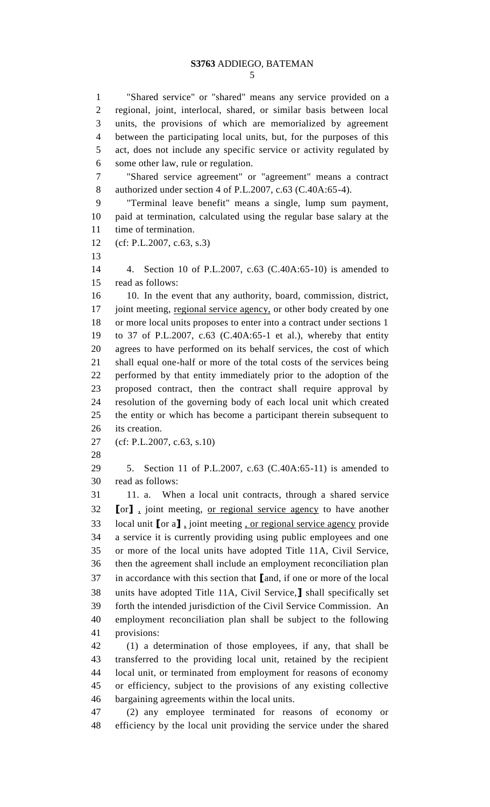"Shared service" or "shared" means any service provided on a regional, joint, interlocal, shared, or similar basis between local units, the provisions of which are memorialized by agreement between the participating local units, but, for the purposes of this act, does not include any specific service or activity regulated by some other law, rule or regulation.

 "Shared service agreement" or "agreement" means a contract authorized under section 4 of P.L.2007, c.63 (C.40A:65-4).

 "Terminal leave benefit" means a single, lump sum payment, paid at termination, calculated using the regular base salary at the time of termination.

(cf: P.L.2007, c.63, s.3)

 4. Section 10 of P.L.2007, c.63 (C.40A:65-10) is amended to read as follows:

 10. In the event that any authority, board, commission, district, 17 joint meeting, regional service agency, or other body created by one or more local units proposes to enter into a contract under sections 1 to 37 of P.L.2007, c.63 (C.40A:65-1 et al.), whereby that entity agrees to have performed on its behalf services, the cost of which shall equal one-half or more of the total costs of the services being performed by that entity immediately prior to the adoption of the proposed contract, then the contract shall require approval by resolution of the governing body of each local unit which created the entity or which has become a participant therein subsequent to its creation.

(cf: P.L.2007, c.63, s.10)

 5. Section 11 of P.L.2007, c.63 (C.40A:65-11) is amended to read as follows:

 11. a. When a local unit contracts, through a shared service **[**or**]** , joint meeting, or regional service agency to have another local unit **[**or a**]** , joint meeting , or regional service agency provide a service it is currently providing using public employees and one or more of the local units have adopted Title 11A, Civil Service, then the agreement shall include an employment reconciliation plan in accordance with this section that **[**and, if one or more of the local units have adopted Title 11A, Civil Service,**]** shall specifically set forth the intended jurisdiction of the Civil Service Commission. An employment reconciliation plan shall be subject to the following provisions:

 (1) a determination of those employees, if any, that shall be transferred to the providing local unit, retained by the recipient local unit, or terminated from employment for reasons of economy or efficiency, subject to the provisions of any existing collective bargaining agreements within the local units.

 (2) any employee terminated for reasons of economy or efficiency by the local unit providing the service under the shared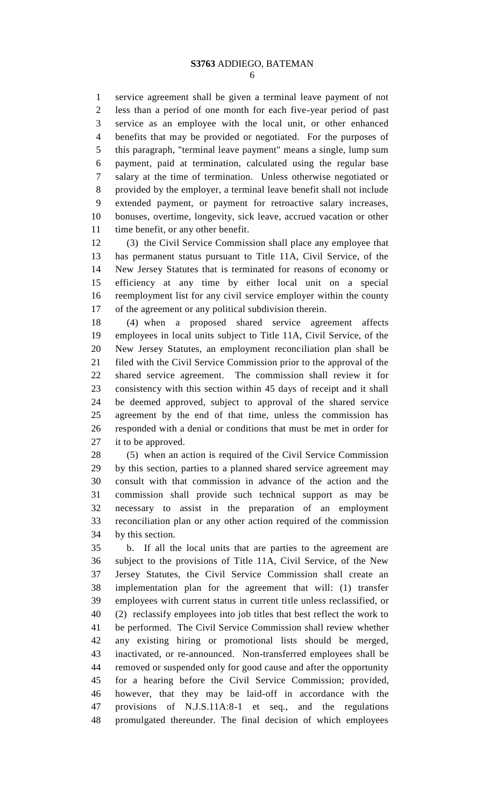service agreement shall be given a terminal leave payment of not less than a period of one month for each five-year period of past service as an employee with the local unit, or other enhanced benefits that may be provided or negotiated. For the purposes of this paragraph, "terminal leave payment" means a single, lump sum payment, paid at termination, calculated using the regular base salary at the time of termination. Unless otherwise negotiated or provided by the employer, a terminal leave benefit shall not include extended payment, or payment for retroactive salary increases, bonuses, overtime, longevity, sick leave, accrued vacation or other 11 time benefit, or any other benefit.

 (3) the Civil Service Commission shall place any employee that has permanent status pursuant to Title 11A, Civil Service, of the New Jersey Statutes that is terminated for reasons of economy or efficiency at any time by either local unit on a special reemployment list for any civil service employer within the county of the agreement or any political subdivision therein.

 (4) when a proposed shared service agreement affects employees in local units subject to Title 11A, Civil Service, of the New Jersey Statutes, an employment reconciliation plan shall be filed with the Civil Service Commission prior to the approval of the shared service agreement. The commission shall review it for consistency with this section within 45 days of receipt and it shall be deemed approved, subject to approval of the shared service agreement by the end of that time, unless the commission has responded with a denial or conditions that must be met in order for it to be approved.

 (5) when an action is required of the Civil Service Commission by this section, parties to a planned shared service agreement may consult with that commission in advance of the action and the commission shall provide such technical support as may be necessary to assist in the preparation of an employment reconciliation plan or any other action required of the commission by this section.

 b. If all the local units that are parties to the agreement are subject to the provisions of Title 11A, Civil Service, of the New Jersey Statutes, the Civil Service Commission shall create an implementation plan for the agreement that will: (1) transfer employees with current status in current title unless reclassified, or (2) reclassify employees into job titles that best reflect the work to be performed. The Civil Service Commission shall review whether any existing hiring or promotional lists should be merged, inactivated, or re-announced. Non-transferred employees shall be removed or suspended only for good cause and after the opportunity for a hearing before the Civil Service Commission; provided, however, that they may be laid-off in accordance with the provisions of N.J.S.11A:8-1 et seq., and the regulations promulgated thereunder. The final decision of which employees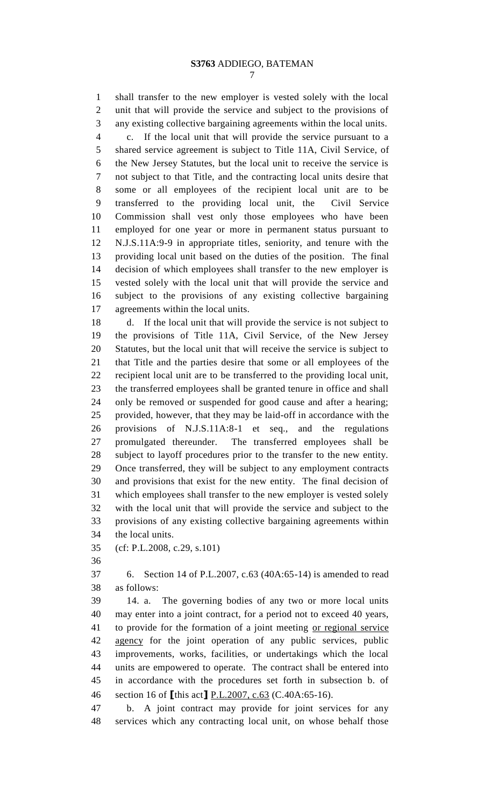shall transfer to the new employer is vested solely with the local unit that will provide the service and subject to the provisions of any existing collective bargaining agreements within the local units.

 c. If the local unit that will provide the service pursuant to a shared service agreement is subject to Title 11A, Civil Service, of the New Jersey Statutes, but the local unit to receive the service is not subject to that Title, and the contracting local units desire that some or all employees of the recipient local unit are to be transferred to the providing local unit, the Civil Service Commission shall vest only those employees who have been employed for one year or more in permanent status pursuant to N.J.S.11A:9-9 in appropriate titles, seniority, and tenure with the providing local unit based on the duties of the position. The final decision of which employees shall transfer to the new employer is vested solely with the local unit that will provide the service and subject to the provisions of any existing collective bargaining agreements within the local units.

 d. If the local unit that will provide the service is not subject to the provisions of Title 11A, Civil Service, of the New Jersey Statutes, but the local unit that will receive the service is subject to that Title and the parties desire that some or all employees of the recipient local unit are to be transferred to the providing local unit, the transferred employees shall be granted tenure in office and shall only be removed or suspended for good cause and after a hearing; provided, however, that they may be laid-off in accordance with the provisions of N.J.S.11A:8-1 et seq., and the regulations promulgated thereunder. The transferred employees shall be subject to layoff procedures prior to the transfer to the new entity. Once transferred, they will be subject to any employment contracts and provisions that exist for the new entity. The final decision of which employees shall transfer to the new employer is vested solely with the local unit that will provide the service and subject to the provisions of any existing collective bargaining agreements within the local units.

(cf: P.L.2008, c.29, s.101)

 6. Section 14 of P.L.2007, c.63 (40A:65-14) is amended to read as follows:

 14. a. The governing bodies of any two or more local units may enter into a joint contract, for a period not to exceed 40 years, to provide for the formation of a joint meeting or regional service agency for the joint operation of any public services, public improvements, works, facilities, or undertakings which the local units are empowered to operate. The contract shall be entered into in accordance with the procedures set forth in subsection b. of section 16 of **[**this act**]** P.L.2007, c.63 (C.40A:65-16).

 b. A joint contract may provide for joint services for any services which any contracting local unit, on whose behalf those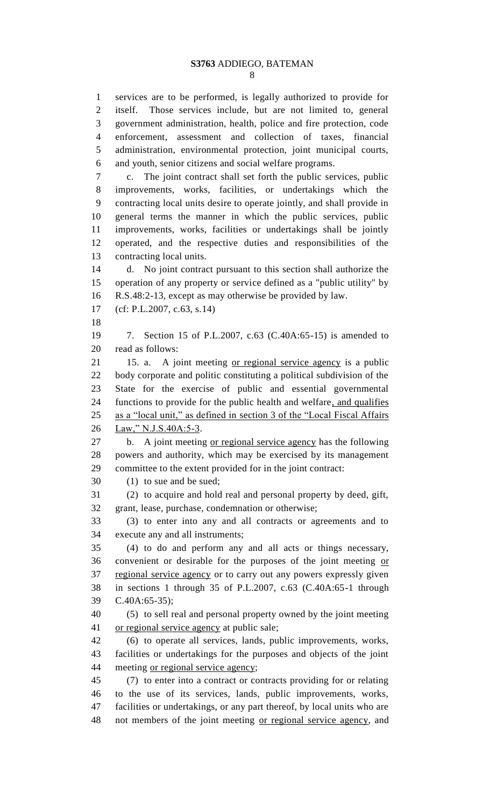services are to be performed, is legally authorized to provide for

 itself. Those services include, but are not limited to, general government administration, health, police and fire protection, code enforcement, assessment and collection of taxes, financial administration, environmental protection, joint municipal courts, and youth, senior citizens and social welfare programs. c. The joint contract shall set forth the public services, public improvements, works, facilities, or undertakings which the contracting local units desire to operate jointly, and shall provide in general terms the manner in which the public services, public improvements, works, facilities or undertakings shall be jointly operated, and the respective duties and responsibilities of the contracting local units. d. No joint contract pursuant to this section shall authorize the operation of any property or service defined as a "public utility" by R.S.48:2-13, except as may otherwise be provided by law. (cf: P.L.2007, c.63, s.14) 7. Section 15 of P.L.2007, c.63 (C.40A:65-15) is amended to read as follows: 15. a. A joint meeting or regional service agency is a public body corporate and politic constituting a political subdivision of the State for the exercise of public and essential governmental functions to provide for the public health and welfare, and qualifies as a "local unit," as defined in section 3 of the "Local Fiscal Affairs 26 Law," N.J.S.40A:5-3. 27 b. A joint meeting <u>or regional service agency</u> has the following powers and authority, which may be exercised by its management committee to the extent provided for in the joint contract: (1) to sue and be sued; (2) to acquire and hold real and personal property by deed, gift, grant, lease, purchase, condemnation or otherwise; (3) to enter into any and all contracts or agreements and to execute any and all instruments; (4) to do and perform any and all acts or things necessary, 36 convenient or desirable for the purposes of the joint meeting or 37 regional service agency or to carry out any powers expressly given in sections 1 through 35 of P.L.2007, c.63 (C.40A:65-1 through C.40A:65-35); (5) to sell real and personal property owned by the joint meeting 41 or regional service agency at public sale; (6) to operate all services, lands, public improvements, works, facilities or undertakings for the purposes and objects of the joint meeting or regional service agency; (7) to enter into a contract or contracts providing for or relating to the use of its services, lands, public improvements, works, facilities or undertakings, or any part thereof, by local units who are 48 not members of the joint meeting or regional service agency, and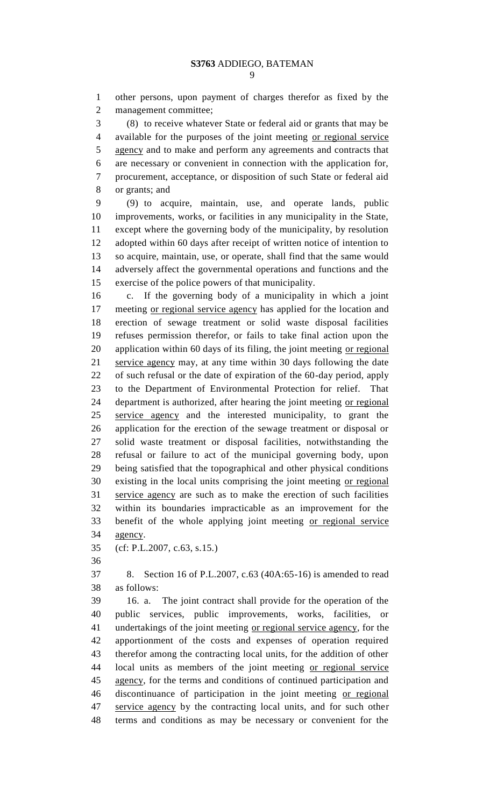other persons, upon payment of charges therefor as fixed by the management committee;

 (8) to receive whatever State or federal aid or grants that may be available for the purposes of the joint meeting or regional service agency and to make and perform any agreements and contracts that are necessary or convenient in connection with the application for, procurement, acceptance, or disposition of such State or federal aid or grants; and

 (9) to acquire, maintain, use, and operate lands, public improvements, works, or facilities in any municipality in the State, except where the governing body of the municipality, by resolution adopted within 60 days after receipt of written notice of intention to so acquire, maintain, use, or operate, shall find that the same would adversely affect the governmental operations and functions and the exercise of the police powers of that municipality.

 c. If the governing body of a municipality in which a joint meeting or regional service agency has applied for the location and erection of sewage treatment or solid waste disposal facilities refuses permission therefor, or fails to take final action upon the 20 application within 60 days of its filing, the joint meeting or regional service agency may, at any time within 30 days following the date of such refusal or the date of expiration of the 60-day period, apply to the Department of Environmental Protection for relief. That department is authorized, after hearing the joint meeting or regional service agency and the interested municipality, to grant the application for the erection of the sewage treatment or disposal or solid waste treatment or disposal facilities, notwithstanding the refusal or failure to act of the municipal governing body, upon being satisfied that the topographical and other physical conditions existing in the local units comprising the joint meeting or regional service agency are such as to make the erection of such facilities within its boundaries impracticable as an improvement for the benefit of the whole applying joint meeting or regional service agency.

(cf: P.L.2007, c.63, s.15.)

 8. Section 16 of P.L.2007, c.63 (40A:65-16) is amended to read as follows:

 16. a. The joint contract shall provide for the operation of the public services, public improvements, works, facilities, or undertakings of the joint meeting or regional service agency, for the apportionment of the costs and expenses of operation required therefor among the contracting local units, for the addition of other local units as members of the joint meeting or regional service agency, for the terms and conditions of continued participation and discontinuance of participation in the joint meeting or regional service agency by the contracting local units, and for such other terms and conditions as may be necessary or convenient for the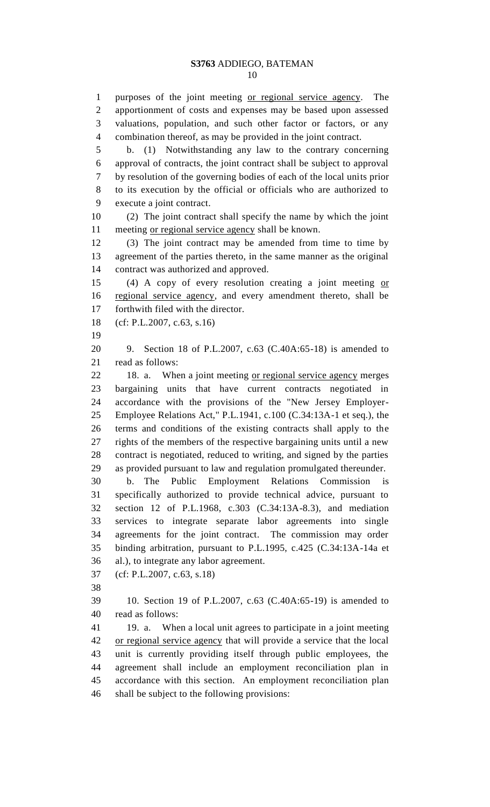purposes of the joint meeting or regional service agency. The apportionment of costs and expenses may be based upon assessed valuations, population, and such other factor or factors, or any combination thereof, as may be provided in the joint contract. b. (1) Notwithstanding any law to the contrary concerning approval of contracts, the joint contract shall be subject to approval by resolution of the governing bodies of each of the local units prior to its execution by the official or officials who are authorized to execute a joint contract. (2) The joint contract shall specify the name by which the joint meeting or regional service agency shall be known. (3) The joint contract may be amended from time to time by agreement of the parties thereto, in the same manner as the original contract was authorized and approved. 15 (4) A copy of every resolution creating a joint meeting or regional service agency, and every amendment thereto, shall be forthwith filed with the director. (cf: P.L.2007, c.63, s.16) 9. Section 18 of P.L.2007, c.63 (C.40A:65-18) is amended to read as follows: 18. a. When a joint meeting or regional service agency merges bargaining units that have current contracts negotiated in accordance with the provisions of the "New Jersey Employer- Employee Relations Act," P.L.1941, c.100 (C.34:13A-1 et seq.), the terms and conditions of the existing contracts shall apply to the rights of the members of the respective bargaining units until a new contract is negotiated, reduced to writing, and signed by the parties as provided pursuant to law and regulation promulgated thereunder. b. The Public Employment Relations Commission is specifically authorized to provide technical advice, pursuant to section 12 of P.L.1968, c.303 (C.34:13A-8.3), and mediation services to integrate separate labor agreements into single agreements for the joint contract. The commission may order binding arbitration, pursuant to P.L.1995, c.425 (C.34:13A-14a et al.), to integrate any labor agreement. (cf: P.L.2007, c.63, s.18) 10. Section 19 of P.L.2007, c.63 (C.40A:65-19) is amended to read as follows: 19. a. When a local unit agrees to participate in a joint meeting or regional service agency that will provide a service that the local unit is currently providing itself through public employees, the agreement shall include an employment reconciliation plan in accordance with this section. An employment reconciliation plan shall be subject to the following provisions: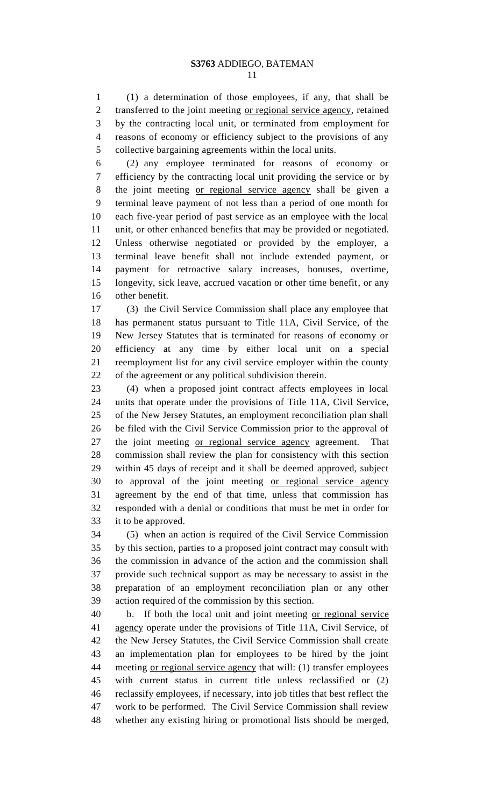(1) a determination of those employees, if any, that shall be 2 transferred to the joint meeting <u>or regional service agency</u>, retained by the contracting local unit, or terminated from employment for reasons of economy or efficiency subject to the provisions of any collective bargaining agreements within the local units.

 (2) any employee terminated for reasons of economy or efficiency by the contracting local unit providing the service or by the joint meeting or regional service agency shall be given a terminal leave payment of not less than a period of one month for each five-year period of past service as an employee with the local unit, or other enhanced benefits that may be provided or negotiated. Unless otherwise negotiated or provided by the employer, a terminal leave benefit shall not include extended payment, or payment for retroactive salary increases, bonuses, overtime, longevity, sick leave, accrued vacation or other time benefit, or any other benefit.

 (3) the Civil Service Commission shall place any employee that has permanent status pursuant to Title 11A, Civil Service, of the New Jersey Statutes that is terminated for reasons of economy or efficiency at any time by either local unit on a special reemployment list for any civil service employer within the county of the agreement or any political subdivision therein.

 (4) when a proposed joint contract affects employees in local units that operate under the provisions of Title 11A, Civil Service, of the New Jersey Statutes, an employment reconciliation plan shall be filed with the Civil Service Commission prior to the approval of 27 the joint meeting or regional service agency agreement. That commission shall review the plan for consistency with this section within 45 days of receipt and it shall be deemed approved, subject to approval of the joint meeting or regional service agency agreement by the end of that time, unless that commission has responded with a denial or conditions that must be met in order for it to be approved.

 (5) when an action is required of the Civil Service Commission by this section, parties to a proposed joint contract may consult with the commission in advance of the action and the commission shall provide such technical support as may be necessary to assist in the preparation of an employment reconciliation plan or any other action required of the commission by this section.

 b. If both the local unit and joint meeting or regional service agency operate under the provisions of Title 11A, Civil Service, of the New Jersey Statutes, the Civil Service Commission shall create an implementation plan for employees to be hired by the joint 44 meeting <u>or regional service agency</u> that will: (1) transfer employees with current status in current title unless reclassified or (2) reclassify employees, if necessary, into job titles that best reflect the work to be performed. The Civil Service Commission shall review whether any existing hiring or promotional lists should be merged,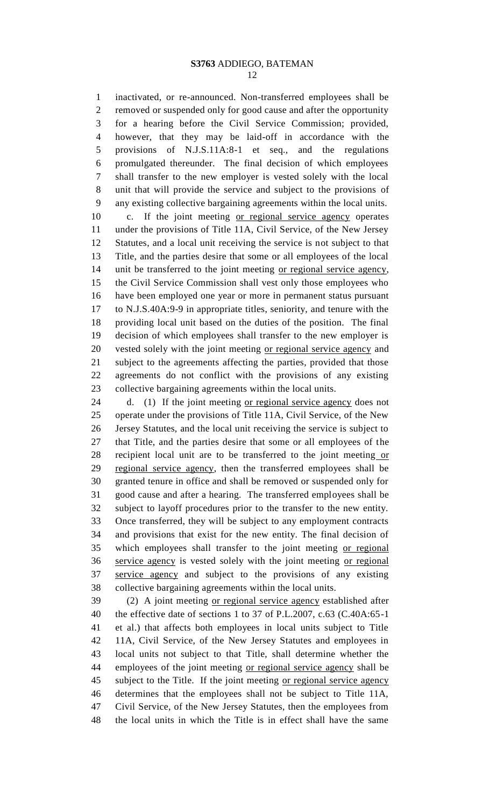inactivated, or re-announced. Non-transferred employees shall be removed or suspended only for good cause and after the opportunity for a hearing before the Civil Service Commission; provided, however, that they may be laid-off in accordance with the provisions of N.J.S.11A:8-1 et seq., and the regulations promulgated thereunder. The final decision of which employees shall transfer to the new employer is vested solely with the local unit that will provide the service and subject to the provisions of any existing collective bargaining agreements within the local units. c. If the joint meeting or regional service agency operates

 under the provisions of Title 11A, Civil Service, of the New Jersey Statutes, and a local unit receiving the service is not subject to that Title, and the parties desire that some or all employees of the local unit be transferred to the joint meeting or regional service agency, the Civil Service Commission shall vest only those employees who have been employed one year or more in permanent status pursuant to N.J.S.40A:9-9 in appropriate titles, seniority, and tenure with the providing local unit based on the duties of the position. The final decision of which employees shall transfer to the new employer is vested solely with the joint meeting or regional service agency and subject to the agreements affecting the parties, provided that those agreements do not conflict with the provisions of any existing collective bargaining agreements within the local units.

 d. (1) If the joint meeting or regional service agency does not operate under the provisions of Title 11A, Civil Service, of the New Jersey Statutes, and the local unit receiving the service is subject to that Title, and the parties desire that some or all employees of the 28 recipient local unit are to be transferred to the joint meeting or regional service agency, then the transferred employees shall be granted tenure in office and shall be removed or suspended only for good cause and after a hearing. The transferred employees shall be subject to layoff procedures prior to the transfer to the new entity. Once transferred, they will be subject to any employment contracts and provisions that exist for the new entity. The final decision of which employees shall transfer to the joint meeting or regional 36 service agency is vested solely with the joint meeting or regional service agency and subject to the provisions of any existing collective bargaining agreements within the local units.

 (2) A joint meeting or regional service agency established after the effective date of sections 1 to 37 of P.L.2007, c.63 (C.40A:65-1 et al.) that affects both employees in local units subject to Title 11A, Civil Service, of the New Jersey Statutes and employees in local units not subject to that Title, shall determine whether the 44 employees of the joint meeting or regional service agency shall be 45 subject to the Title. If the joint meeting <u>or regional service agency</u> determines that the employees shall not be subject to Title 11A, Civil Service, of the New Jersey Statutes, then the employees from the local units in which the Title is in effect shall have the same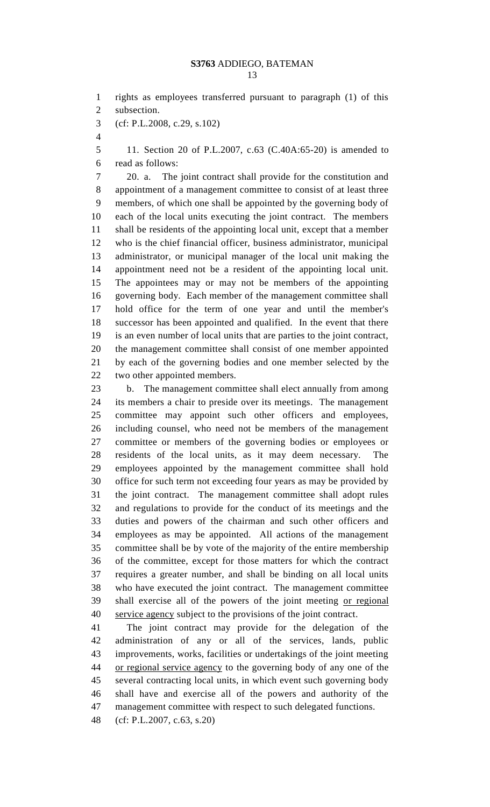|  | I<br>۰.<br>۰.<br>× |
|--|--------------------|

rights as employees transferred pursuant to paragraph (1) of this

subsection.

(cf: P.L.2008, c.29, s.102)

 11. Section 20 of P.L.2007, c.63 (C.40A:65-20) is amended to read as follows:

 20. a. The joint contract shall provide for the constitution and appointment of a management committee to consist of at least three members, of which one shall be appointed by the governing body of each of the local units executing the joint contract. The members shall be residents of the appointing local unit, except that a member who is the chief financial officer, business administrator, municipal administrator, or municipal manager of the local unit making the appointment need not be a resident of the appointing local unit. The appointees may or may not be members of the appointing governing body. Each member of the management committee shall hold office for the term of one year and until the member's successor has been appointed and qualified. In the event that there is an even number of local units that are parties to the joint contract, the management committee shall consist of one member appointed by each of the governing bodies and one member selected by the two other appointed members.

 b. The management committee shall elect annually from among its members a chair to preside over its meetings. The management committee may appoint such other officers and employees, including counsel, who need not be members of the management committee or members of the governing bodies or employees or residents of the local units, as it may deem necessary. The employees appointed by the management committee shall hold office for such term not exceeding four years as may be provided by the joint contract. The management committee shall adopt rules and regulations to provide for the conduct of its meetings and the duties and powers of the chairman and such other officers and employees as may be appointed. All actions of the management committee shall be by vote of the majority of the entire membership of the committee, except for those matters for which the contract requires a greater number, and shall be binding on all local units who have executed the joint contract. The management committee 39 shall exercise all of the powers of the joint meeting or regional service agency subject to the provisions of the joint contract.

 The joint contract may provide for the delegation of the administration of any or all of the services, lands, public improvements, works, facilities or undertakings of the joint meeting or regional service agency to the governing body of any one of the several contracting local units, in which event such governing body shall have and exercise all of the powers and authority of the management committee with respect to such delegated functions.

(cf: P.L.2007, c.63, s.20)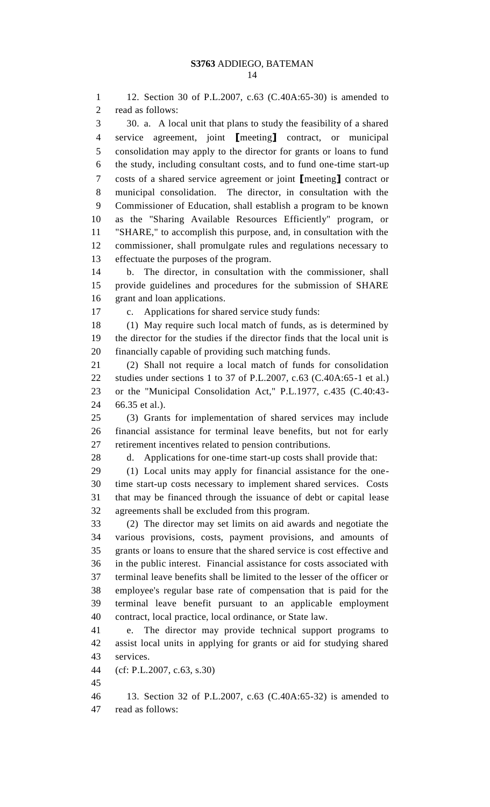12. Section 30 of P.L.2007, c.63 (C.40A:65-30) is amended to read as follows: 30. a. A local unit that plans to study the feasibility of a shared service agreement, joint **[**meeting**]** contract, or municipal consolidation may apply to the director for grants or loans to fund the study, including consultant costs, and to fund one-time start-up costs of a shared service agreement or joint **[**meeting**]** contract or municipal consolidation. The director, in consultation with the Commissioner of Education, shall establish a program to be known as the "Sharing Available Resources Efficiently" program, or "SHARE," to accomplish this purpose, and, in consultation with the commissioner, shall promulgate rules and regulations necessary to effectuate the purposes of the program. b. The director, in consultation with the commissioner, shall provide guidelines and procedures for the submission of SHARE grant and loan applications. c. Applications for shared service study funds: (1) May require such local match of funds, as is determined by the director for the studies if the director finds that the local unit is financially capable of providing such matching funds. (2) Shall not require a local match of funds for consolidation studies under sections 1 to 37 of P.L.2007, c.63 (C.40A:65-1 et al.) or the "Municipal Consolidation Act," P.L.1977, c.435 (C.40:43- 66.35 et al.). (3) Grants for implementation of shared services may include financial assistance for terminal leave benefits, but not for early retirement incentives related to pension contributions. d. Applications for one-time start-up costs shall provide that: (1) Local units may apply for financial assistance for the one- time start-up costs necessary to implement shared services. Costs that may be financed through the issuance of debt or capital lease agreements shall be excluded from this program. (2) The director may set limits on aid awards and negotiate the various provisions, costs, payment provisions, and amounts of grants or loans to ensure that the shared service is cost effective and in the public interest. Financial assistance for costs associated with terminal leave benefits shall be limited to the lesser of the officer or employee's regular base rate of compensation that is paid for the terminal leave benefit pursuant to an applicable employment contract, local practice, local ordinance, or State law. e. The director may provide technical support programs to assist local units in applying for grants or aid for studying shared services. (cf: P.L.2007, c.63, s.30) 13. Section 32 of P.L.2007, c.63 (C.40A:65-32) is amended to

read as follows: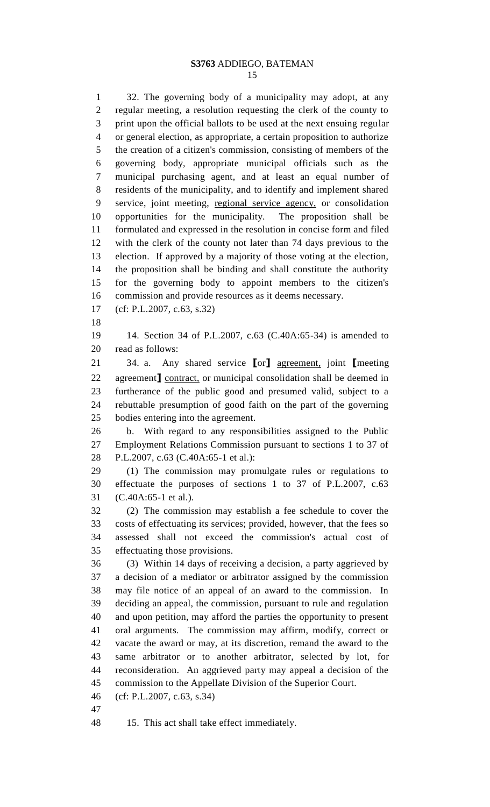32. The governing body of a municipality may adopt, at any regular meeting, a resolution requesting the clerk of the county to print upon the official ballots to be used at the next ensuing regular or general election, as appropriate, a certain proposition to authorize the creation of a citizen's commission, consisting of members of the governing body, appropriate municipal officials such as the municipal purchasing agent, and at least an equal number of residents of the municipality, and to identify and implement shared service, joint meeting, regional service agency, or consolidation opportunities for the municipality. The proposition shall be formulated and expressed in the resolution in concise form and filed with the clerk of the county not later than 74 days previous to the election. If approved by a majority of those voting at the election, the proposition shall be binding and shall constitute the authority for the governing body to appoint members to the citizen's commission and provide resources as it deems necessary. (cf: P.L.2007, c.63, s.32) 14. Section 34 of P.L.2007, c.63 (C.40A:65-34) is amended to read as follows: 34. a. Any shared service **[**or**]** agreement, joint **[**meeting agreement**]** contract, or municipal consolidation shall be deemed in furtherance of the public good and presumed valid, subject to a rebuttable presumption of good faith on the part of the governing bodies entering into the agreement. b. With regard to any responsibilities assigned to the Public Employment Relations Commission pursuant to sections 1 to 37 of P.L.2007, c.63 (C.40A:65-1 et al.): (1) The commission may promulgate rules or regulations to effectuate the purposes of sections 1 to 37 of P.L.2007, c.63 (C.40A:65-1 et al.). (2) The commission may establish a fee schedule to cover the costs of effectuating its services; provided, however, that the fees so assessed shall not exceed the commission's actual cost of effectuating those provisions. (3) Within 14 days of receiving a decision, a party aggrieved by a decision of a mediator or arbitrator assigned by the commission may file notice of an appeal of an award to the commission. In deciding an appeal, the commission, pursuant to rule and regulation and upon petition, may afford the parties the opportunity to present oral arguments. The commission may affirm, modify, correct or vacate the award or may, at its discretion, remand the award to the same arbitrator or to another arbitrator, selected by lot, for reconsideration. An aggrieved party may appeal a decision of the

- commission to the Appellate Division of the Superior Court.
- (cf: P.L.2007, c.63, s.34)
- 

15. This act shall take effect immediately.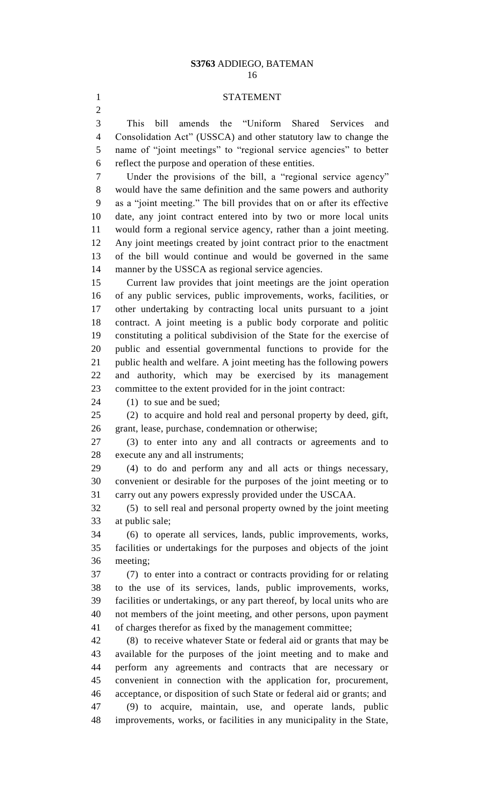### STATEMENT

 This bill amends the "Uniform Shared Services and Consolidation Act" (USSCA) and other statutory law to change the name of "joint meetings" to "regional service agencies" to better reflect the purpose and operation of these entities.

 Under the provisions of the bill, a "regional service agency" would have the same definition and the same powers and authority as a "joint meeting." The bill provides that on or after its effective date, any joint contract entered into by two or more local units would form a regional service agency, rather than a joint meeting. Any joint meetings created by joint contract prior to the enactment of the bill would continue and would be governed in the same manner by the USSCA as regional service agencies.

 Current law provides that joint meetings are the joint operation of any public services, public improvements, works, facilities, or other undertaking by contracting local units pursuant to a joint contract. A joint meeting is a public body corporate and politic constituting a political subdivision of the State for the exercise of public and essential governmental functions to provide for the public health and welfare. A joint meeting has the following powers and authority, which may be exercised by its management committee to the extent provided for in the joint contract:

24 (1) to sue and be sued;

 (2) to acquire and hold real and personal property by deed, gift, grant, lease, purchase, condemnation or otherwise;

 (3) to enter into any and all contracts or agreements and to execute any and all instruments;

 (4) to do and perform any and all acts or things necessary, convenient or desirable for the purposes of the joint meeting or to carry out any powers expressly provided under the USCAA.

 (5) to sell real and personal property owned by the joint meeting at public sale;

 (6) to operate all services, lands, public improvements, works, facilities or undertakings for the purposes and objects of the joint meeting;

 (7) to enter into a contract or contracts providing for or relating to the use of its services, lands, public improvements, works, facilities or undertakings, or any part thereof, by local units who are not members of the joint meeting, and other persons, upon payment of charges therefor as fixed by the management committee;

 (8) to receive whatever State or federal aid or grants that may be available for the purposes of the joint meeting and to make and perform any agreements and contracts that are necessary or convenient in connection with the application for, procurement, acceptance, or disposition of such State or federal aid or grants; and (9) to acquire, maintain, use, and operate lands, public improvements, works, or facilities in any municipality in the State,